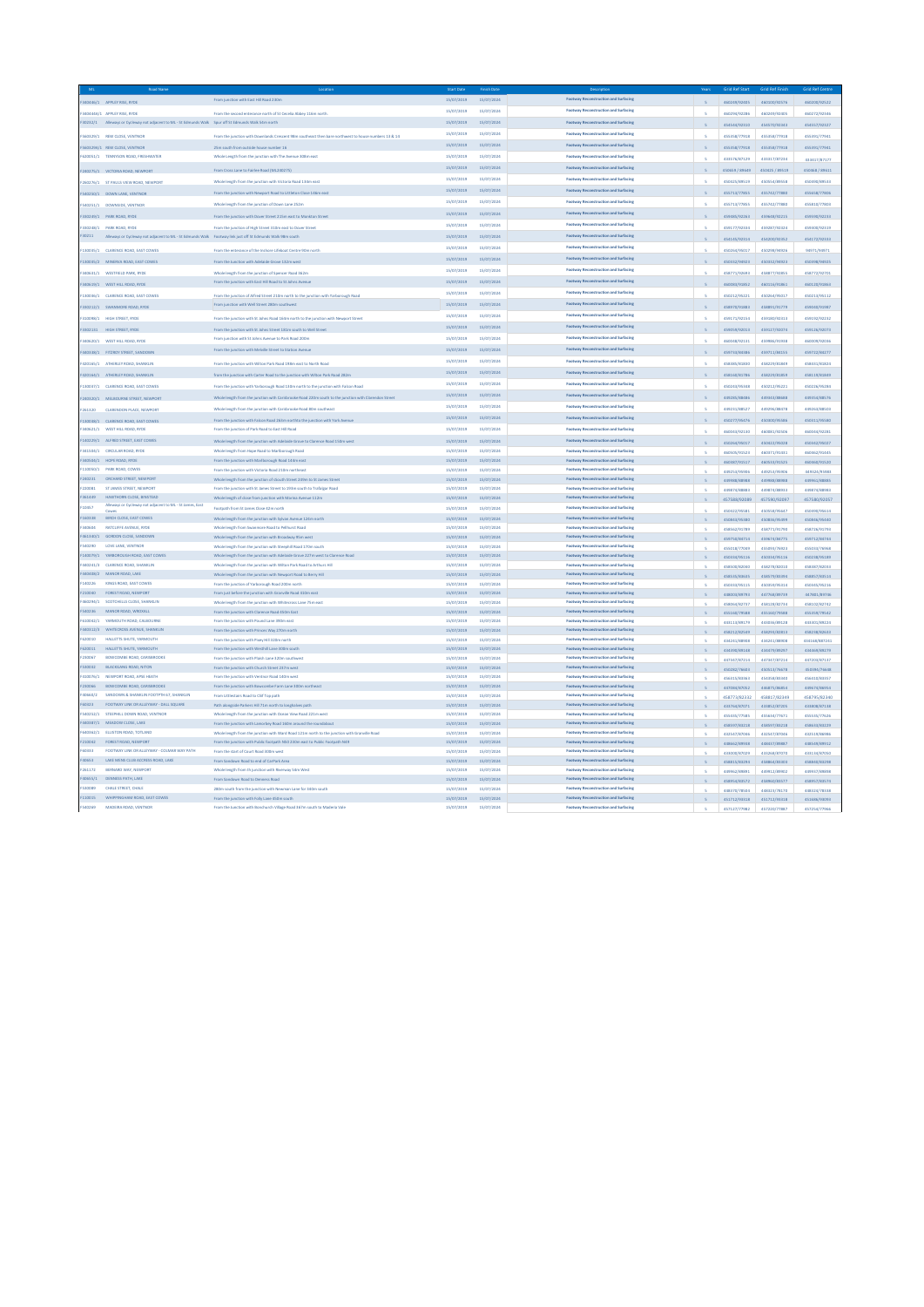|              |                                                                                                           | From junction with East Hill Road 230m                                                                | 15/07/2019 | 15/07/2024 | ruction and Surfacing                       |                         |                |              |                |
|--------------|-----------------------------------------------------------------------------------------------------------|-------------------------------------------------------------------------------------------------------|------------|------------|---------------------------------------------|-------------------------|----------------|--------------|----------------|
|              | 40446/1 APPLEY RISE, RYDE                                                                                 |                                                                                                       |            |            |                                             | S                       | 460249/92405   | 460100/92576 | 460200/92522   |
|              | 40444A/1 APPLEY RISE, RYDE                                                                                | From the second enterance north of St Cecelia Abbey 116m nort                                         | 15/07/2019 | 15/07/2024 | <b>Englway Reconstruction and Surfacing</b> |                         | 460294/92286   | 460249/92405 | 460272/92346   |
|              | 30232/1 Alleways or Cycleway not adjacent to ML - St Edmunds Walk Spur off St Edmunds Walk 54m north      |                                                                                                       | 15/07/2019 | 15/07/2024 | Footway Reconstruction and Surfacing        |                         |                |              |                |
|              |                                                                                                           |                                                                                                       |            |            |                                             |                         | 454544/92310   | 454570/92343 | 454557/92322   |
|              | 560329/1 REW CLOSE, VENTNOR                                                                               | From the junction with Downlands Crescent 98m southeast then bare northwest to house numbers 13 & 14  | 15/07/2019 | 15/07/2024 | Footway Reconstruction and Surfacing        |                         | 455358/77918   | 455358/77918 | 455391/77941   |
|              |                                                                                                           |                                                                                                       |            |            |                                             |                         |                |              |                |
|              | 560329A/1 REW CLOSE, VENTNOR                                                                              | im south from outside house number 16                                                                 | 15/07/2019 | 15/07/2024 | Footway Reconstruction and Surfacing        |                         | 455358/77918   | 455358/77918 | 455391/77941   |
|              | 620051/1 TENNYSON ROAD, FRESHWATER                                                                        | Whole Length from the junction with The Avenue 308m east                                              | 15/07/2019 | 15/07/2024 | Footway Reconstruction and Surfacing        |                         |                |              |                |
|              |                                                                                                           |                                                                                                       |            |            |                                             |                         | 433576/87129   | 433317/87234 | 433417/87177   |
|              | 240275/1 VICTORIA ROAD, NEWPORT                                                                           | From Cross Lane to Fairlee Road (ML240275)                                                            | 15/07/2019 | 15/07/2024 | Footway Reconstruction and Surfacing        | $\mathbb{R}$            | 450659 / 89649 | 450425/89519 | 450468 / 89611 |
|              |                                                                                                           |                                                                                                       | 15/07/2019 | 15/07/2024 | Footway Reconstruction and Surfacing        |                         |                |              |                |
|              | 260276/1 ST PAULS VIEW ROAD, NEWPORT                                                                      | Whole length from the junction with Victoria Road 134m east                                           |            |            |                                             |                         | 450425/89519   | 450554/89558 | 450490/89533   |
|              | 540250/1 DOWN LANE, VENTNOR                                                                               | From the junction with Newport Road to Littleton Close 146m east                                      | 15/07/2019 | 15/07/2024 | Footway Reconstruction and Surfacing        |                         | 455713/77855   | 455742/77880 | 455658/77806   |
|              |                                                                                                           |                                                                                                       |            |            |                                             |                         |                |              |                |
|              | 540251/1 DOWNSIDE, VENTNOR                                                                                | Whole length from the junction of Down Lane 252n                                                      | 15/07/2019 | 15/07/2024 | Footway Reconstruction and Surfacing        |                         | 455713/77855   | 455742/77880 | 455810/77803   |
|              |                                                                                                           |                                                                                                       | 15/07/2019 | 15/07/2024 | Footway Reconstruction and Surfacing        |                         |                |              |                |
|              | 330249/1 PARK ROAD, RYDE                                                                                  | From the junction with Dover Street 215m east to Monkton Street                                       |            |            |                                             |                         | 459485/92263   | 459648/92215 | 459590/92233   |
|              | 330248/1 PARK ROAD, RYDE                                                                                  | From the junction of High Street 310m east to Dover Street                                            | 15/07/2019 | 15/07/2024 | <b>Footway Reconstruction and Surfacing</b> |                         | 459177/92334   | 459287/92324 | 459300/92319   |
| 30211        | Alleways or Cycleway not adjacent to ML - St Edmunds Walk Footway link just off St Edmunds Walk 98m south |                                                                                                       | 15/07/2019 | 15/07/2024 | Footway Reconstruction and Surfacing        |                         |                |              |                |
|              |                                                                                                           |                                                                                                       |            |            |                                             | $\mathbb{R}$            | 454145/92314   | 454200/92352 | 454172/92333   |
|              | 130035/1 CLARENCE ROAD, EAST COWES                                                                        | From the enterance of the inshore Lifeboat Centre 90m north                                           | 15/07/2019 | 15/07/2024 | Footway Reconstruction and Surfacing        |                         | 450264/95017   | 450298/94926 | 94971/94971    |
|              |                                                                                                           |                                                                                                       |            |            |                                             |                         |                |              |                |
|              | 130035/2 MINERVA ROAD, EAST COWES                                                                         | From the Junction with Adelaide Grove 132m west                                                       | 15/07/2019 | 15/07/2024 | Footway Reconstruction and Surfacing        |                         | 450332/94923   | 450332/94923 | 450398/94925   |
|              |                                                                                                           |                                                                                                       | 15/07/2019 | 15/07/2024 | Footway Reconstruction and Surfacing        |                         |                |              |                |
|              | MOS31/1 WESTFIELD PARK RYDE                                                                               | Whole length from the junction of Snencer Road 362m                                                   |            |            |                                             |                         | 458771/92693   | 458877/92855 | 458772/92701   |
|              | 340619/1 WEST HILL ROAD, RYDE                                                                             | From the junction with East Hill Road to St Johns Aven                                                | 15/07/2019 | 15/07/2024 | Footway Reconstruction and Surfacing        |                         | 460083/91852   | 460116/91861 | 460120/91863   |
|              |                                                                                                           |                                                                                                       | 15/07/2019 | 15/07/2024 | Footway Reconstruction and Surfacing        |                         |                |              |                |
|              | 130036/1 CLARENCE ROAD, EAST COWES                                                                        | From the junction of Alfred Street 210m north to the junction with Yarborough Roar                    |            |            |                                             |                         | 450212/95221   | 450264/95017 | 450213/95112   |
|              | 330212/1 SWANMORE ROAD, RYDE                                                                              | From junction with Well Street 280m southwest                                                         | 15/07/2019 | 15/07/2024 | Footway Reconstruction and Surfacing        | $\overline{\mathbf{s}}$ | 458970/91883   | 458891/91779 | 459040/91987   |
|              |                                                                                                           |                                                                                                       |            |            |                                             |                         |                |              |                |
|              | 310098/1 HIGH STREET. RYDE                                                                                | From the junction with St Johns Road 164m north to the junction with Newport Street                   | 15/07/2019 | 15/07/2024 | Footway Reconstruction and Surfacing        |                         | 459171/92154   | 459180/92313 | 459192/92232   |
|              |                                                                                                           |                                                                                                       | 15/07/2019 | 15/07/2024 | Footway Reconstruction and Surfacing        |                         |                |              |                |
|              | 3302131 HIGH STREET, RYDE                                                                                 | From the junction with St Johns Street 181m south to Well Street                                      |            |            |                                             |                         | 459059/92013   | 459127/92074 | 459126/92073   |
|              | 340620/1 WEST HILL ROAD, RYDE                                                                             | From junction with St Johns Avenue to Park Road 200m                                                  | 15/07/2019 | 15/07/2024 | Footway Reconstruction and Surfacing        |                         | 460048/92131   | 459986/91938 | 460009/92036   |
|              |                                                                                                           | From the junction with Melville Street to Station Avenue                                              | 15/07/2019 | 15/07/2024 | Footway Reconstruction and Surfacing        |                         |                |              |                |
|              | 440338/1 FITZROY STREET, SANDOWN                                                                          |                                                                                                       |            |            |                                             |                         | 459733/84386   | 459711/84155 | 459722/84277   |
| 420165/1     | ATHERLEY ROAD, SHANKLIN                                                                                   | From the junction with Wilton Park Road 198m east to North Road                                       | 15/07/2019 | 15/07/2024 | Footway Reconstruction and Surfacing        |                         | 458385/81830   | 458229/81849 | 458431/81824   |
|              |                                                                                                           |                                                                                                       |            |            |                                             |                         |                |              |                |
|              | 20164/1 ATHERLEY ROAD, SHANKLIN                                                                           | from the junction with Carter Road to the junction with Wilton Park Road 282m                         | 15/07/2019 | 15/07/2024 | Footway Reconstruction and Surfacing        |                         | 458160/81786   | 458229/81859 | 458119/81849   |
|              |                                                                                                           |                                                                                                       | 15/07/2019 | 15/07/2024 | Footway Reconstruction and Surfacing        |                         |                |              |                |
|              | 130037/1 CLARENCE ROAD, EAST COWES                                                                        | From the junction with Yarborough Road 130m north to the junction with Falcon Road                    |            |            |                                             |                         | 450243/95348   | 450212/95221 | 450226/95284   |
|              | 240320/1 MELBOURNE STREET, NEWPORT                                                                        | Whole length from the junction with Carisbrooke Road 220m south to the junction with Clarendon Street | 15/07/2019 | 15/07/2024 | Footway Reconstruction and Surfacing        |                         | 449285/88486   | 449343/88688 | 449354/88576   |
|              |                                                                                                           |                                                                                                       | 15/07/2019 | 15/07/2024 | <b>Englway Reconstruction and Surfacing</b> |                         |                |              |                |
| 261320       | CLARENDON PLACE, NEWPOR                                                                                   | Whole length from the junction with Carisbrooke Road RDm southeast                                    |            |            |                                             |                         | 449231/88522   | 449296/88478 | 449263/88503   |
|              | 130038/1 CLARENCE ROAD, EAST COWES                                                                        | From the junction with Falcon Road 263m northto the junction with York Avenue                         | 15/07/2019 | 15/07/2024 | Footway Reconstruction and Surfacing        |                         | 450277/95476   | 450300/95586 | 450311/95580   |
|              |                                                                                                           |                                                                                                       |            |            |                                             |                         |                |              |                |
| 40621/1      | WEST HILL ROAD, RYD                                                                                       | From the junction of Park Road to East Hill Road                                                      | 15/07/2019 | 15/07/2024 | Footway Reconstruction and Surfacing        |                         | 460043/92130   | 460081/92506 | 460044/92281   |
|              | 140229/1 ALFRED STREET, EAST COWES                                                                        | Whole length from the junction with Adelaide Grove to Clarence Road 150m west                         | 15/07/2019 | 15/07/2024 | Footway Reconstruction and Surfacing        |                         |                |              |                |
|              |                                                                                                           |                                                                                                       |            |            |                                             |                         | 450264/95017   | 450422/95028 | 450342/95027   |
| 341504/1     | CROUAR ROAD, RYDE                                                                                         | Whole length from Hope Road to Marlborough Road                                                       | 15/07/2019 | 15/07/2024 | Footway Reconstruction and Surfacing        |                         | 460505/91523   | 460371/91431 | 460462/91445   |
| 340504/1     | HOPE ROAD, RYDE                                                                                           | From the junction with Marlborough Road 144m eas                                                      | 15/07/2019 | 15/07/2024 | Footway Reconstruction and Surfacing        | $\mathbb{R}$            | 460387/91517   | 460533/91525 | 460460/91520   |
| 110050/1     | PARK ROAD, COWES                                                                                          | From the junction with Victoria Road 210m northeas                                                    | 15/07/2019 | 15/07/2024 | Footway Reconstruction and Surfacing        |                         |                |              |                |
|              |                                                                                                           |                                                                                                       |            |            |                                             |                         | 449253/95906   | 449253/95906 | 449324/95983   |
| 240231       | ORCHARD STREET, NEWPORT                                                                                   | Whole length from the junction of sSouth Street 249m to St James Stree                                | 15/07/2019 | 15/07/2024 | Footway Reconstruction and Surfacing        |                         | 449988/88988   | 449988/88988 | 449961/88885   |
| 220081       | ST JAMES STREET, NEWPORT                                                                                  | From the junction with St James Street to 193m south to Trafalgar Road                                | 15/07/2019 | 15/07/2024 | Footway Reconstruction and Surfacing        |                         | 449874/88883   | 449874/88933 | 449874/88983   |
| 361449       | HAWTHORN CLOSE, BINSTEAD                                                                                  | Whole length of close from junction with Marina Avenue 112m                                           | 15/07/2019 | 15/07/2024 | Footway Reconstruction and Surfacing        |                         | 457588/92089   | 457590/92097 | 457580/92057   |
|              | Alleways or Cycleway not adiacent to ML - St James, East                                                  |                                                                                                       |            |            |                                             |                         |                |              |                |
| 10457        |                                                                                                           | Footpath from St James Close 42m north                                                                | 15/07/2019 | 15/07/2024 | <b>Footway Reconstruction and Surfacing</b> |                         | 450422/95581   | 450558/95647 | 450490/95614   |
| 160338       | BIRCH CLOSE, EAST COWES                                                                                   | Whole length from the junction with Sylvan Avenue 124m north                                          | 15/07/2019 | 15/07/2024 | Footway Reconstruction and Surfacing        |                         | 450843/95380   | 450836/95499 | 450846/95440   |
| sansna       | <b>BATCUREF AVENUE RYDE</b>                                                                               | Whole length from Swanmore Road to Pellhurst Road                                                     |            | 15/07/2024 | <b>Footway Reconstruction and Surfacing</b> |                         |                |              |                |
|              |                                                                                                           |                                                                                                       | 15/07/2019 |            |                                             |                         | 458562/91789   | 458771/91790 | 458726/91793   |
| 461340/1     | <b>GORDON CLOSE, SANDOWN</b>                                                                              | Whole length from the junction with Broadway 95m west                                                 | 15/07/2019 | 15/07/2024 | Footway Reconstruction and Surfacing        |                         | 459750/84714   | 459674/84775 | 459712/84744   |
| 540290       | LOVE LANE, VENTNOR                                                                                        | Whole length from the junction with Steephill Road 170m south                                         | 15/07/2019 | 15/07/2024 | Footway Reconstruction and Surfacing        |                         | 455018/77049   | 455093/76923 | 455033/76968   |
| 140079/1     | YARBOROUGH ROAD, EAST COWES                                                                               | Whole length from the junction with Adelaide Grove 227m west to Clarence Road                         | 15/07/2019 | 15/07/2024 | Footway Reconstruction and Surfacing        |                         |                |              |                |
|              |                                                                                                           |                                                                                                       |            |            |                                             |                         | 450334/95116   | 450334/95116 | 450238/95189   |
| 40241/3      | <b>CLARENCE ROAD, SHANKLI</b>                                                                             | Whole length from the junction with Wilton Park Road to Arthurs Hill                                  | 15/07/2019 | 15/07/2024 | Footway Reconstruction and Surfacing        |                         | 458500/82040   | 458278/82010 | 458387/82033   |
| 40408/2      | WOR ROAD, LAKE                                                                                            | Whole length from the junction with Newport Road to Berry Hill                                        | 15/07/2019 | 15/07/2024 | Footway Reconstruction and Surfacing        |                         | 458535/83635   | 458579/83394 | 458857/83514   |
| <b>ACCOA</b> | KINGS ROAD, FAST COMES                                                                                    | From the junction of Yarborough Road 200m nor                                                         | 15/07/2019 | 15/07/2024 | <b>Footway Reconstruction and Surfacing</b> |                         |                |              |                |
|              |                                                                                                           |                                                                                                       |            |            |                                             |                         | 450333/95115   | 450359/95314 | 450345/95216   |
| 210040       | FOREST ROAD, NEWPORT                                                                                      | From just before the junction with Granville Road 410m east                                           | 15/07/2019 | 15/07/2024 | Footway Reconstruction and Surfacing        |                         | 448003/89793   | 447768/89739 | 447801/89746   |
| 460294/1     | SCOTCHELLS CLOSE, SHANKLIN                                                                                | Whole length from the junction with Whitecross I and 75m east                                         | 15/07/2019 | 15/07/2024 | <b>Footway Reconstruction and Surfacing</b> |                         | 458064/82737   | 458128/82734 | 458102/82742   |
| 540236       | MANOR ROAD, WROKALL                                                                                       | From the junction with Clarence Road 450m East                                                        | 15/07/2019 | 15/07/2024 | Footway Reconstruction and Surfacing        |                         | 455160/79588   | 455160/79588 | 455359/79542   |
| 610042/1     | YARMOUTH ROAD, CALBOURNE                                                                                  | From the junction with Pound Lane 390m east                                                           |            |            | Footway Reconstruction and Surfacing        |                         |                |              |                |
|              |                                                                                                           |                                                                                                       | 15/07/2019 | 15/07/2024 |                                             |                         | 443113/89179   | 443036/89128 | 443301/89224   |
| 440312/3     | WHITECROSS AVENUE, SHANKLIP                                                                               | From the junction with Princes Way 270m north                                                         | 15/07/2019 | 15/07/2024 | Footway Reconstruction and Surfacing        |                         | 458212/82549   | 458293/82813 | 458238/82633   |
| oronca       | HALLETTS SHITE VARMOUTH                                                                                   | From the junction with Pixey Hill 320m north                                                          | 15/07/2019 | 15/07/2024 | Footway Reconstruction and Surfacing        | ×                       | 434241/88908   | 434241/88908 | 434168/887241  |
|              | HALLETTS SHUTE, YARMOUTH                                                                                  |                                                                                                       |            |            |                                             |                         |                |              |                |
| 620011       |                                                                                                           | From the junction with Westhill Lane 300m sout                                                        | 15/07/2019 | 15/07/2024 | Footway Reconstruction and Surfacing        |                         | 434390/89148   | 434479/89297 | 434469/89279   |
| 230067       | BOWCOMBE ROAD, CARISBROOKE                                                                                | From the junction with Plaich Lane 320m couthwest                                                     | 15/07/2019 | 15/07/2024 | <b>Footway Reconstruction and Surfacing</b> | <b>s</b>                | 447347/87214   | 447347/87214 | 447203/87137   |
| 530032       | <b>BLACKGANG ROAD, NITON</b>                                                                              | From the junction with Church Street 237m west                                                        | 15/07/2019 | 15/07/2024 | Footway Reconstruction and Surfacing        |                         | 450282/76603   | 450513/76678 | 450394/76648   |
| 410076/1     | NEWPORT ROAD, APSE HEATH                                                                                  |                                                                                                       |            |            | Footway Reconstruction and Surfacing        |                         |                |              |                |
|              |                                                                                                           | From the junction with Ventnor Road 140m west                                                         | 15/07/2019 | 15/07/2024 |                                             |                         | 456315/83363   | 454358/83340 | 456410/83357   |
| 230066       | WCOMBE ROAD, CARISBROOKE                                                                                  | From the junction with Bowcombe Farm Lane 300m northeast                                              | 15/07/2019 | 15/07/2024 | Footway Reconstruction and Surfacing        |                         | 447084/87052   | 446875/86854 | 449674/86954   |
| cunaana      | SANDOWN & SHANKLIN FOOTPTH 67 SHANKLIN                                                                    | From Littlestairs Road to Clif Top pat                                                                | 15/07/2019 | 15/07/2024 | Footway Reconstruction and Surfacing        |                         | 458773/82332   | 458817/82349 | 458795/82340   |
| 60323        | FOOTWAY UNK OR ALLEYWAY - DALL SOLIARE                                                                    | Path alongside Parkers Hill 71m north to longhalves path                                              | 15/07/2019 | 15/07/2024 | Footway Reconstruction and Surfacing        |                         |                |              |                |
|              |                                                                                                           |                                                                                                       |            |            |                                             |                         | 433764/87071   | 433852/87205 | 433808/87138   |
| 540252/1     | STEEPHILL DOWN ROAD, VENTNOR                                                                              | Whole length from the junction with Organ View Road 221m west                                         | 15/07/2019 | 15/07/2024 | <b>Footway Reconstruction and Surfacing</b> |                         | 455435/77585   | 455634/77671 | 455535/77626   |
| 440387/1     | MEADOW CLOSE, LAKE                                                                                        | From the junction with Lamorbey Road 160m around the roundabout                                       | 15/07/2019 | 15/07/2024 | Footway Reconstruction and Surfacing        |                         | 458597/83218   | 458597/83218 | 458633/83229   |
| 640362/1     | ELLISTON ROAD, TOTLAND                                                                                    | Whole length from the junction with Ward Road 121m north to the junction with Granville Road          | 15/07/2019 | 15/07/2024 | Footway Reconstruction and Surfacing        |                         | 432547/87046   | 432547/87046 | 432519/8698    |
|              |                                                                                                           |                                                                                                       |            |            |                                             |                         |                |              |                |
| 210042       | FOREST ROAD, NEWPORT                                                                                      | From the junction with Public footpath N50 230m east to Public Footpath N49                           | 15/07/2019 | 15/07/2024 | Footway Reconstruction and Surfacing        |                         | 448662/89938   | 448437/89887 | 448549/89912   |
| 60333        | FOOTWAY LINK OR ALLEYWAY - COLMAR WAY PATH                                                                | From the start of Court Road 300m wes                                                                 | 15/07/2019 | 15/07/2024 | Footway Reconstruction and Surfacing        |                         | 433000/87029   | 433268/87070 | 433134/87050   |
| 40653        | LAKE MENS CLUB ACCRESS ROAD, LAKE                                                                         | From Sandown Road to end of CarPark Area                                                              | 15/07/2019 | 15/07/2024 | Footway Reconstruction and Surfacing        |                         | 458815/83294   | 458864/83303 | 458840/83298   |
| 261172       | BERNARD WAY, NEWPORT                                                                                      | Whole length from th junction with Riverway 54m West                                                  | 15/07/2019 | 15/07/2024 | Footway Reconstruction and Surfacing        |                         |                |              |                |
|              |                                                                                                           |                                                                                                       |            |            |                                             |                         | 449962/89891   | 449912/89902 | 449937/89898   |
| 40555/1      | DENNESS PATH, LAKE                                                                                        | From Sandown Road to Denness Road                                                                     | 15/07/2019 | 15/07/2024 | Footway Reconstruction and Surfacing        |                         | 458954/83572   | 458960/83577 | 458957/83574   |
| 530089       | CHALE STREET, CHALL                                                                                       | 280m south from the junction with Newman Lane for 340m south                                          | 15/07/2019 | 15/07/2024 | Footway Reconstruction and Surfacing        |                         | 448370/78504   | 448323/78170 | 448324/78338   |
| 110015       | WHIPPINGHAM ROAD, EAST COWES                                                                              | From the junction with Folly Lane 450m south                                                          | 15/07/2019 | 15/07/2024 | Footway Reconstruction and Surfacing        |                         |                |              |                |
|              |                                                                                                           |                                                                                                       |            |            |                                             |                         | 451712/93318   | 451712/93318 | 451686/93093   |
| 40269        | MADEIRA ROAD, VENTNOR                                                                                     | From the Junction with Bonchurch Village Road 367m south to Maderia Vale                              | 15/07/2019 | 15/07/2024 | Footway Reconstruction and Surfacing        |                         | 457127/77982   |              |                |